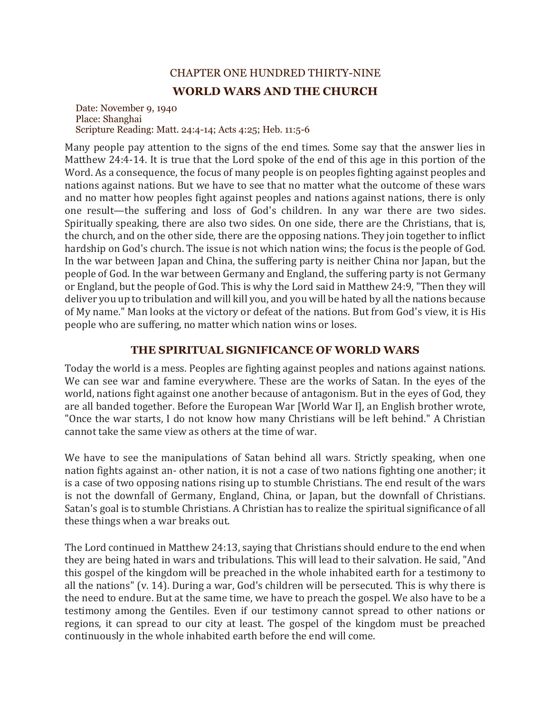## CHAPTER ONE HUNDRED THIRTY-NINE **WORLD WARS AND THE CHURCH**

Date: November 9, 1940 Place: Shanghai Scripture Reading: Matt. 24:4-14; Acts 4:25; Heb. 11:5-6

Many people pay attention to the signs of the end times. Some say that the answer lies in Matthew 24:4-14. It is true that the Lord spoke of the end of this age in this portion of the Word. As a consequence, the focus of many people is on peoples fighting against peoples and nations against nations. But we have to see that no matter what the outcome of these wars and no matter how peoples fight against peoples and nations against nations, there is only one result—the suffering and loss of God's children. In any war there are two sides. Spiritually speaking, there are also two sides. On one side, there are the Christians, that is, the church, and on the other side, there are the opposing nations. They join together to inflict hardship on God's church. The issue is not which nation wins; the focus is the people of God. In the war between Japan and China, the suffering party is neither China nor Japan, but the people of God. In the war between Germany and England, the suffering party is not Germany or England, but the people of God. This is why the Lord said in Matthew 24:9, "Then they will deliver you up to tribulation and will kill you, and you will be hated by all the nations because of My name." Man looks at the victory or defeat of the nations. But from God's view, it is His people who are suffering, no matter which nation wins or loses.

## **THE SPIRITUAL SIGNIFICANCE OF WORLD WARS**

Today the world is a mess. Peoples are fighting against peoples and nations against nations. We can see war and famine everywhere. These are the works of Satan. In the eyes of the world, nations fight against one another because of antagonism. But in the eyes of God, they are all banded together. Before the European War [World War I], an English brother wrote, "Once the war starts, I do not know how many Christians will be left behind." A Christian cannot take the same view as others at the time of war.

We have to see the manipulations of Satan behind all wars. Strictly speaking, when one nation fights against an- other nation, it is not a case of two nations fighting one another; it is a case of two opposing nations rising up to stumble Christians. The end result of the wars is not the downfall of Germany, England, China, or Japan, but the downfall of Christians. Satan's goal is to stumble Christians. A Christian has to realize the spiritual significance of all these things when a war breaks out.

The Lord continued in Matthew 24:13, saying that Christians should endure to the end when they are being hated in wars and tribulations. This will lead to their salvation. He said, "And this gospel of the kingdom will be preached in the whole inhabited earth for a testimony to all the nations" (v. 14). During a war, God's children will be persecuted. This is why there is the need to endure. But at the same time, we have to preach the gospel. We also have to be a testimony among the Gentiles. Even if our testimony cannot spread to other nations or regions, it can spread to our city at least. The gospel of the kingdom must be preached continuously in the whole inhabited earth before the end will come.